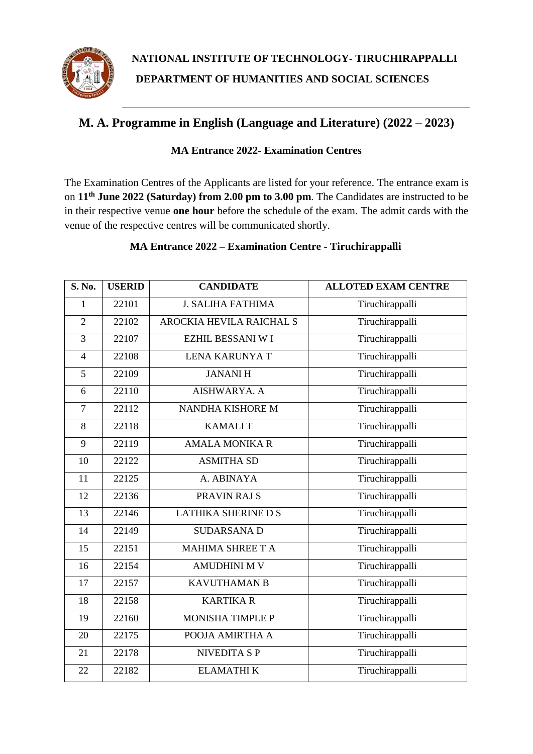

# **M. A. Programme in English (Language and Literature) (2022 – 2023)**

#### **MA Entrance 2022- Examination Centres**

The Examination Centres of the Applicants are listed for your reference. The entrance exam is on **11th June 2022 (Saturday) from 2.00 pm to 3.00 pm**. The Candidates are instructed to be in their respective venue **one hour** before the schedule of the exam. The admit cards with the venue of the respective centres will be communicated shortly.

#### **MA Entrance 2022 – Examination Centre - Tiruchirappalli**

| S. No.         | <b>USERID</b> | <b>CANDIDATE</b>                | <b>ALLOTED EXAM CENTRE</b> |
|----------------|---------------|---------------------------------|----------------------------|
| 1              | 22101         | <b>J. SALIHA FATHIMA</b>        | Tiruchirappalli            |
| $\overline{2}$ | 22102         | <b>AROCKIA HEVILA RAICHAL S</b> | Tiruchirappalli            |
| 3              | 22107         | <b>EZHIL BESSANI W I</b>        | Tiruchirappalli            |
| $\overline{4}$ | 22108         | <b>LENA KARUNYA T</b>           | Tiruchirappalli            |
| 5              | 22109         | <b>JANANIH</b>                  | Tiruchirappalli            |
| 6              | 22110         | AISHWARYA. A                    | Tiruchirappalli            |
| $\overline{7}$ | 22112         | NANDHA KISHORE M                | Tiruchirappalli            |
| 8              | 22118         | <b>KAMALIT</b>                  | Tiruchirappalli            |
| 9              | 22119         | <b>AMALA MONIKA R</b>           | Tiruchirappalli            |
| 10             | 22122         | <b>ASMITHA SD</b>               | Tiruchirappalli            |
| 11             | 22125         | A. ABINAYA                      | Tiruchirappalli            |
| 12             | 22136         | PRAVIN RAJ S                    | Tiruchirappalli            |
| 13             | 22146         | <b>LATHIKA SHERINE D S</b>      | Tiruchirappalli            |
| 14             | 22149         | <b>SUDARSANA D</b>              | Tiruchirappalli            |
| 15             | 22151         | <b>MAHIMA SHREE T A</b>         | Tiruchirappalli            |
| 16             | 22154         | <b>AMUDHINI M V</b>             | Tiruchirappalli            |
| 17             | 22157         | <b>KAVUTHAMAN B</b>             | Tiruchirappalli            |
| 18             | 22158         | <b>KARTIKA R</b>                | Tiruchirappalli            |
| 19             | 22160         | <b>MONISHA TIMPLE P</b>         | Tiruchirappalli            |
| 20             | 22175         | POOJA AMIRTHA A                 | Tiruchirappalli            |
| 21             | 22178         | <b>NIVEDITA SP</b>              | Tiruchirappalli            |
| 22             | 22182         | <b>ELAMATHIK</b>                | Tiruchirappalli            |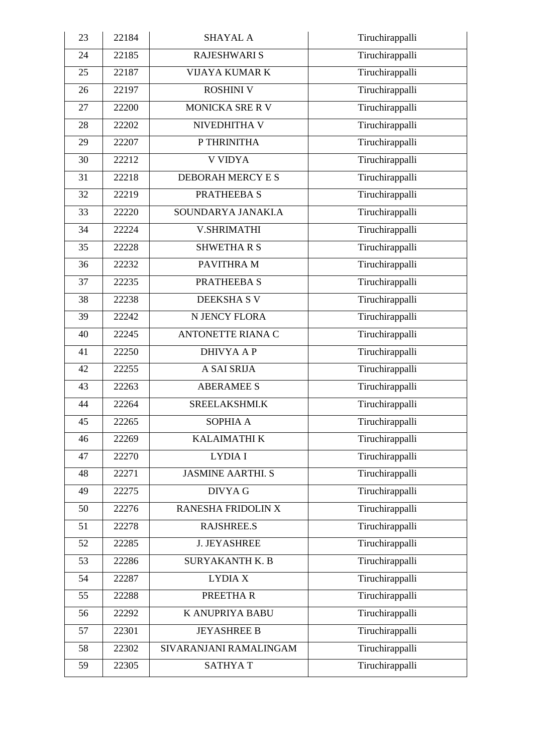| 23 | 22184 | <b>SHAYAL A</b>          | Tiruchirappalli |
|----|-------|--------------------------|-----------------|
| 24 | 22185 | <b>RAJESHWARI S</b>      | Tiruchirappalli |
| 25 | 22187 | <b>VIJAYA KUMAR K</b>    | Tiruchirappalli |
| 26 | 22197 | <b>ROSHINI V</b>         | Tiruchirappalli |
| 27 | 22200 | <b>MONICKA SRE R V</b>   | Tiruchirappalli |
| 28 | 22202 | NIVEDHITHA V             | Tiruchirappalli |
| 29 | 22207 | P THRINITHA              | Tiruchirappalli |
| 30 | 22212 | <b>V VIDYA</b>           | Tiruchirappalli |
| 31 | 22218 | DEBORAH MERCY E S        | Tiruchirappalli |
| 32 | 22219 | PRATHEEBA S              | Tiruchirappalli |
| 33 | 22220 | SOUNDARYA JANAKI.A       | Tiruchirappalli |
| 34 | 22224 | <b>V.SHRIMATHI</b>       | Tiruchirappalli |
| 35 | 22228 | <b>SHWETHARS</b>         | Tiruchirappalli |
| 36 | 22232 | PAVITHRA M               | Tiruchirappalli |
| 37 | 22235 | PRATHEEBA S              | Tiruchirappalli |
| 38 | 22238 | <b>DEEKSHASV</b>         | Tiruchirappalli |
| 39 | 22242 | N JENCY FLORA            | Tiruchirappalli |
| 40 | 22245 | <b>ANTONETTE RIANA C</b> | Tiruchirappalli |
| 41 | 22250 | <b>DHIVYA A P</b>        | Tiruchirappalli |
| 42 | 22255 | A SAI SRIJA              | Tiruchirappalli |
| 43 | 22263 | <b>ABERAMEE S</b>        | Tiruchirappalli |
| 44 | 22264 | SREELAKSHMI.K            | Tiruchirappalli |
| 45 | 22265 | SOPHIA A                 | Tiruchirappalli |
| 46 | 22269 | <b>KALAIMATHI K</b>      | Tiruchirappalli |
| 47 | 22270 | LYDIA I                  | Tiruchirappalli |
| 48 | 22271 | <b>JASMINE AARTHI. S</b> | Tiruchirappalli |
| 49 | 22275 | <b>DIVYA G</b>           | Tiruchirappalli |
| 50 | 22276 | RANESHA FRIDOLIN X       | Tiruchirappalli |
| 51 | 22278 | <b>RAJSHREE.S</b>        | Tiruchirappalli |
| 52 | 22285 | <b>J. JEYASHREE</b>      | Tiruchirappalli |
| 53 | 22286 | <b>SURYAKANTH K. B</b>   | Tiruchirappalli |
| 54 | 22287 | <b>LYDIA X</b>           | Tiruchirappalli |
| 55 | 22288 | PREETHAR                 | Tiruchirappalli |
| 56 | 22292 | K ANUPRIYA BABU          | Tiruchirappalli |
| 57 | 22301 | <b>JEYASHREE B</b>       | Tiruchirappalli |
| 58 | 22302 | SIVARANJANI RAMALINGAM   | Tiruchirappalli |
| 59 | 22305 | <b>SATHYAT</b>           | Tiruchirappalli |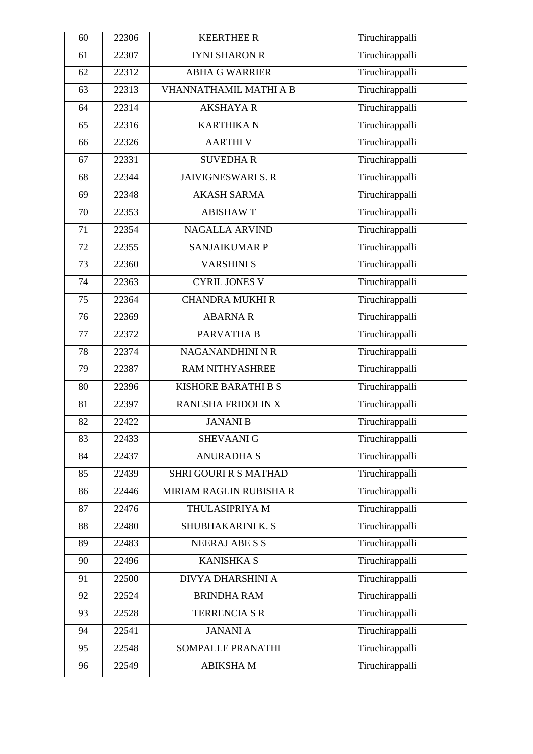| 60 | 22306 | <b>KEERTHEE R</b>            | Tiruchirappalli |
|----|-------|------------------------------|-----------------|
| 61 | 22307 | <b>IYNI SHARON R</b>         | Tiruchirappalli |
| 62 | 22312 | <b>ABHA G WARRIER</b>        | Tiruchirappalli |
| 63 | 22313 | VHANNATHAMIL MATHI A B       | Tiruchirappalli |
| 64 | 22314 | <b>AKSHAYA R</b>             | Tiruchirappalli |
| 65 | 22316 | <b>KARTHIKA N</b>            | Tiruchirappalli |
| 66 | 22326 | <b>AARTHIV</b>               | Tiruchirappalli |
| 67 | 22331 | <b>SUVEDHAR</b>              | Tiruchirappalli |
| 68 | 22344 | <b>JAIVIGNESWARI S. R</b>    | Tiruchirappalli |
| 69 | 22348 | <b>AKASH SARMA</b>           | Tiruchirappalli |
| 70 | 22353 | <b>ABISHAWT</b>              | Tiruchirappalli |
| 71 | 22354 | <b>NAGALLA ARVIND</b>        | Tiruchirappalli |
| 72 | 22355 | <b>SANJAIKUMAR P</b>         | Tiruchirappalli |
| 73 | 22360 | <b>VARSHINI S</b>            | Tiruchirappalli |
| 74 | 22363 | <b>CYRIL JONES V</b>         | Tiruchirappalli |
| 75 | 22364 | <b>CHANDRA MUKHI R</b>       | Tiruchirappalli |
| 76 | 22369 | <b>ABARNAR</b>               | Tiruchirappalli |
| 77 | 22372 | PARVATHA B                   | Tiruchirappalli |
| 78 | 22374 | NAGANANDHINI N R             | Tiruchirappalli |
| 79 | 22387 | <b>RAM NITHYASHREE</b>       | Tiruchirappalli |
| 80 | 22396 | <b>KISHORE BARATHI B S</b>   | Tiruchirappalli |
| 81 | 22397 | RANESHA FRIDOLIN X           | Tiruchirappalli |
| 82 | 22422 | <b>JANANI B</b>              | Tiruchirappalli |
| 83 | 22433 | <b>SHEVAANI G</b>            | Tiruchirappalli |
| 84 | 22437 | <b>ANURADHA S</b>            | Tiruchirappalli |
| 85 | 22439 | <b>SHRI GOURI R S MATHAD</b> | Tiruchirappalli |
| 86 | 22446 | MIRIAM RAGLIN RUBISHA R      | Tiruchirappalli |
| 87 | 22476 | THULASIPRIYA M               | Tiruchirappalli |
| 88 | 22480 | SHUBHAKARINI K. S            | Tiruchirappalli |
| 89 | 22483 | <b>NEERAJ ABE S S</b>        | Tiruchirappalli |
| 90 | 22496 | <b>KANISHKA S</b>            | Tiruchirappalli |
| 91 | 22500 | DIVYA DHARSHINI A            | Tiruchirappalli |
| 92 | 22524 | <b>BRINDHA RAM</b>           | Tiruchirappalli |
| 93 | 22528 | <b>TERRENCIA S R</b>         | Tiruchirappalli |
| 94 | 22541 | <b>JANANIA</b>               | Tiruchirappalli |
| 95 | 22548 | SOMPALLE PRANATHI            | Tiruchirappalli |
| 96 | 22549 | <b>ABIKSHAM</b>              | Tiruchirappalli |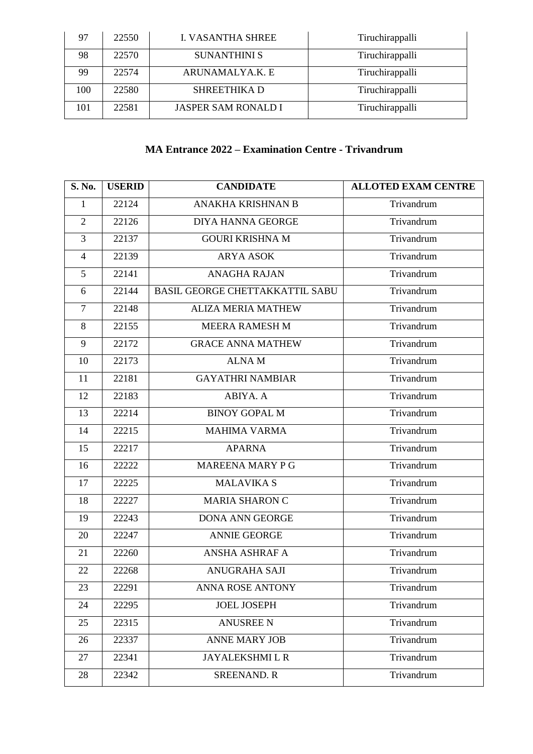| 97  | 22550 | <b>I. VASANTHA SHREE</b>   | Tiruchirappalli |
|-----|-------|----------------------------|-----------------|
| 98  | 22570 | <b>SUNANTHINI S</b>        | Tiruchirappalli |
| 99  | 22574 | ARUNAMALYA.K. E            | Tiruchirappalli |
| 100 | 22580 | <b>SHREETHIKA D</b>        | Tiruchirappalli |
| 101 | 22581 | <b>JASPER SAM RONALD I</b> | Tiruchirappalli |

### **MA Entrance 2022 – Examination Centre - Trivandrum**

| S. No.         | <b>USERID</b> | <b>CANDIDATE</b>                | <b>ALLOTED EXAM CENTRE</b> |
|----------------|---------------|---------------------------------|----------------------------|
| $\mathbf{1}$   | 22124         | ANAKHA KRISHNAN B               | Trivandrum                 |
| $\overline{2}$ | 22126         | <b>DIYA HANNA GEORGE</b>        | Trivandrum                 |
| 3              | 22137         | <b>GOURI KRISHNA M</b>          | Trivandrum                 |
| $\overline{4}$ | 22139         | <b>ARYA ASOK</b>                | Trivandrum                 |
| 5              | 22141         | <b>ANAGHA RAJAN</b>             | Trivandrum                 |
| 6              | 22144         | BASIL GEORGE CHETTAKKATTIL SABU | Trivandrum                 |
| $\tau$         | 22148         | <b>ALIZA MERIA MATHEW</b>       | Trivandrum                 |
| 8              | 22155         | <b>MEERA RAMESH M</b>           | Trivandrum                 |
| 9              | 22172         | <b>GRACE ANNA MATHEW</b>        | Trivandrum                 |
| 10             | 22173         | <b>ALNAM</b>                    | Trivandrum                 |
| 11             | 22181         | <b>GAYATHRI NAMBIAR</b>         | Trivandrum                 |
| 12             | 22183         | ABIYA. A                        | Trivandrum                 |
| 13             | 22214         | <b>BINOY GOPAL M</b>            | Trivandrum                 |
| 14             | 22215         | <b>MAHIMA VARMA</b>             | Trivandrum                 |
| 15             | 22217         | <b>APARNA</b>                   | Trivandrum                 |
| 16             | 22222         | MAREENA MARY P G                | Trivandrum                 |
| 17             | 22225         | <b>MALAVIKA S</b>               | Trivandrum                 |
| 18             | 22227         | <b>MARIA SHARON C</b>           | Trivandrum                 |
| 19             | 22243         | <b>DONA ANN GEORGE</b>          | Trivandrum                 |
| 20             | 22247         | <b>ANNIE GEORGE</b>             | Trivandrum                 |
| 21             | 22260         | ANSHA ASHRAF A                  | Trivandrum                 |
| 22             | 22268         | <b>ANUGRAHA SAJI</b>            | Trivandrum                 |
| 23             | 22291         | <b>ANNA ROSE ANTONY</b>         | Trivandrum                 |
| 24             | 22295         | <b>JOEL JOSEPH</b>              | Trivandrum                 |
| 25             | 22315         | <b>ANUSREE N</b>                | Trivandrum                 |
| 26             | 22337         | <b>ANNE MARY JOB</b>            | Trivandrum                 |
| 27             | 22341         | <b>JAYALEKSHMI L R</b>          | Trivandrum                 |
| 28             | 22342         | <b>SREENAND. R</b>              | Trivandrum                 |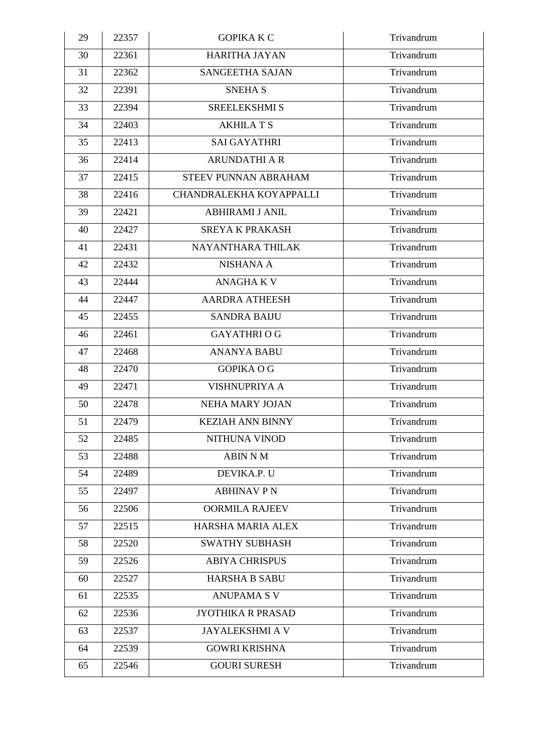| 29 | 22357 | <b>GOPIKA K C</b>        | Trivandrum |
|----|-------|--------------------------|------------|
| 30 | 22361 | <b>HARITHA JAYAN</b>     | Trivandrum |
| 31 | 22362 | SANGEETHA SAJAN          | Trivandrum |
| 32 | 22391 | <b>SNEHA S</b>           | Trivandrum |
| 33 | 22394 | <b>SREELEKSHMI S</b>     | Trivandrum |
| 34 | 22403 | <b>AKHILATS</b>          | Trivandrum |
| 35 | 22413 | <b>SAI GAYATHRI</b>      | Trivandrum |
| 36 | 22414 | <b>ARUNDATHI A R</b>     | Trivandrum |
| 37 | 22415 | STEEV PUNNAN ABRAHAM     | Trivandrum |
| 38 | 22416 | CHANDRALEKHA KOYAPPALLI  | Trivandrum |
| 39 | 22421 | <b>ABHIRAMI J ANIL</b>   | Trivandrum |
| 40 | 22427 | <b>SREYA K PRAKASH</b>   | Trivandrum |
| 41 | 22431 | NAYANTHARA THILAK        | Trivandrum |
| 42 | 22432 | <b>NISHANA A</b>         | Trivandrum |
| 43 | 22444 | <b>ANAGHAKV</b>          | Trivandrum |
| 44 | 22447 | <b>AARDRA ATHEESH</b>    | Trivandrum |
| 45 | 22455 | <b>SANDRA BAIJU</b>      | Trivandrum |
| 46 | 22461 | <b>GAYATHRIOG</b>        | Trivandrum |
| 47 | 22468 | <b>ANANYA BABU</b>       | Trivandrum |
| 48 | 22470 | <b>GOPIKA O G</b>        | Trivandrum |
| 49 | 22471 | <b>VISHNUPRIYA A</b>     | Trivandrum |
| 50 | 22478 | <b>NEHA MARY JOJAN</b>   | Trivandrum |
| 51 | 22479 | <b>KEZIAH ANN BINNY</b>  | Trivandrum |
| 52 | 22485 | NITHUNA VINOD            | Trivandrum |
| 53 | 22488 | <b>ABIN N M</b>          | Trivandrum |
| 54 | 22489 | DEVIKA.P. U              | Trivandrum |
| 55 | 22497 | <b>ABHINAV PN</b>        | Trivandrum |
| 56 | 22506 | <b>OORMILA RAJEEV</b>    | Trivandrum |
| 57 | 22515 | HARSHA MARIA ALEX        | Trivandrum |
| 58 | 22520 | <b>SWATHY SUBHASH</b>    | Trivandrum |
| 59 | 22526 | <b>ABIYA CHRISPUS</b>    | Trivandrum |
| 60 | 22527 | <b>HARSHA B SABU</b>     | Trivandrum |
| 61 | 22535 | <b>ANUPAMA S V</b>       | Trivandrum |
| 62 | 22536 | <b>JYOTHIKA R PRASAD</b> | Trivandrum |
| 63 | 22537 | <b>JAYALEKSHMI A V</b>   | Trivandrum |
| 64 | 22539 | <b>GOWRI KRISHNA</b>     | Trivandrum |
| 65 | 22546 | <b>GOURI SURESH</b>      | Trivandrum |